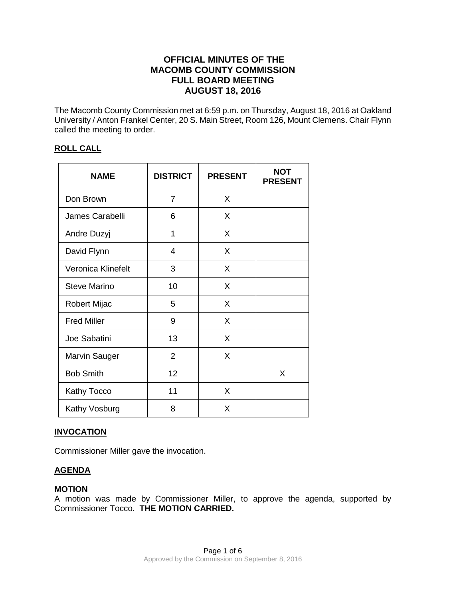# **OFFICIAL MINUTES OF THE MACOMB COUNTY COMMISSION FULL BOARD MEETING AUGUST 18, 2016**

The Macomb County Commission met at 6:59 p.m. on Thursday, August 18, 2016 at Oakland University / Anton Frankel Center, 20 S. Main Street, Room 126, Mount Clemens. Chair Flynn called the meeting to order.

# **ROLL CALL**

| <b>NAME</b>          | <b>DISTRICT</b> | <b>PRESENT</b> | <b>NOT</b><br><b>PRESENT</b> |
|----------------------|-----------------|----------------|------------------------------|
| Don Brown            | $\overline{7}$  | X              |                              |
| James Carabelli      | 6               | X              |                              |
| Andre Duzyj          | 1               | X              |                              |
| David Flynn          | 4               | X              |                              |
| Veronica Klinefelt   | 3               | X              |                              |
| Steve Marino         | 10              | X              |                              |
| <b>Robert Mijac</b>  | 5               | X              |                              |
| <b>Fred Miller</b>   | 9               | X              |                              |
| Joe Sabatini         | 13              | X              |                              |
| <b>Marvin Sauger</b> | $\overline{2}$  | X              |                              |
| <b>Bob Smith</b>     | 12              |                | X                            |
| <b>Kathy Tocco</b>   | 11              | X              |                              |
| Kathy Vosburg        | 8               | X              |                              |

# **INVOCATION**

Commissioner Miller gave the invocation.

# **AGENDA**

# **MOTION**

A motion was made by Commissioner Miller, to approve the agenda, supported by Commissioner Tocco. **THE MOTION CARRIED.**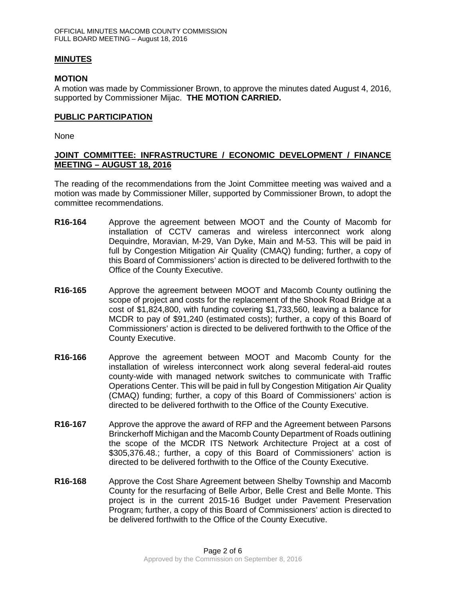### **MINUTES**

### **MOTION**

A motion was made by Commissioner Brown, to approve the minutes dated August 4, 2016, supported by Commissioner Mijac. **THE MOTION CARRIED.** 

### **PUBLIC PARTICIPATION**

None

# **JOINT COMMITTEE: INFRASTRUCTURE / ECONOMIC DEVELOPMENT / FINANCE MEETING – AUGUST 18, 2016**

The reading of the recommendations from the Joint Committee meeting was waived and a motion was made by Commissioner Miller, supported by Commissioner Brown, to adopt the committee recommendations.

- **R16-164** Approve the agreement between MOOT and the County of Macomb for installation of CCTV cameras and wireless interconnect work along Dequindre, Moravian, M-29, Van Dyke, Main and M-53. This will be paid in full by Congestion Mitigation Air Quality (CMAQ) funding; further, a copy of this Board of Commissioners' action is directed to be delivered forthwith to the Office of the County Executive.
- **R16-165** Approve the agreement between MOOT and Macomb County outlining the scope of project and costs for the replacement of the Shook Road Bridge at a cost of \$1,824,800, with funding covering \$1,733,560, leaving a balance for MCDR to pay of \$91,240 (estimated costs); further, a copy of this Board of Commissioners' action is directed to be delivered forthwith to the Office of the County Executive.
- **R16-166** Approve the agreement between MOOT and Macomb County for the installation of wireless interconnect work along several federal-aid routes county-wide with managed network switches to communicate with Traffic Operations Center. This will be paid in full by Congestion Mitigation Air Quality (CMAQ) funding; further, a copy of this Board of Commissioners' action is directed to be delivered forthwith to the Office of the County Executive.
- **R16-167** Approve the approve the award of RFP and the Agreement between Parsons Brinckerhoff Michigan and the Macomb County Department of Roads outlining the scope of the MCDR ITS Network Architecture Project at a cost of \$305,376.48.; further, a copy of this Board of Commissioners' action is directed to be delivered forthwith to the Office of the County Executive.
- **R16-168** Approve the Cost Share Agreement between Shelby Township and Macomb County for the resurfacing of Belle Arbor, Belle Crest and Belle Monte. This project is in the current 2015-16 Budget under Pavement Preservation Program; further, a copy of this Board of Commissioners' action is directed to be delivered forthwith to the Office of the County Executive.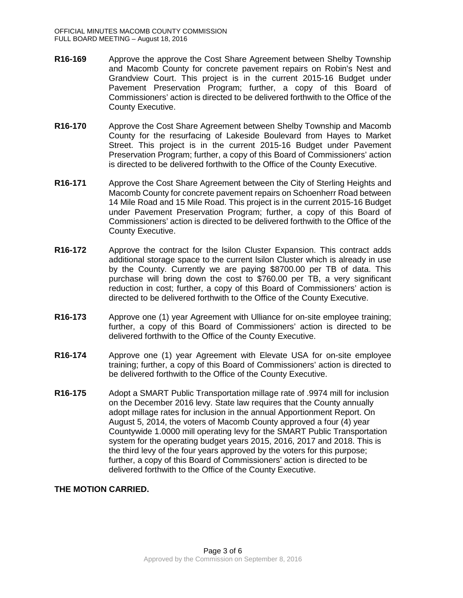- **R16-169** Approve the approve the Cost Share Agreement between Shelby Township and Macomb County for concrete pavement repairs on Robin's Nest and Grandview Court. This project is in the current 2015-16 Budget under Pavement Preservation Program; further, a copy of this Board of Commissioners' action is directed to be delivered forthwith to the Office of the County Executive.
- **R16-170** Approve the Cost Share Agreement between Shelby Township and Macomb County for the resurfacing of Lakeside Boulevard from Hayes to Market Street. This project is in the current 2015-16 Budget under Pavement Preservation Program; further, a copy of this Board of Commissioners' action is directed to be delivered forthwith to the Office of the County Executive.
- **R16-171** Approve the Cost Share Agreement between the City of Sterling Heights and Macomb County for concrete pavement repairs on Schoenherr Road between 14 Mile Road and 15 Mile Road. This project is in the current 2015-16 Budget under Pavement Preservation Program; further, a copy of this Board of Commissioners' action is directed to be delivered forthwith to the Office of the County Executive.
- **R16-172** Approve the contract for the lsilon Cluster Expansion. This contract adds additional storage space to the current lsilon Cluster which is already in use by the County. Currently we are paying \$8700.00 per TB of data. This purchase will bring down the cost to \$760.00 per TB, a very significant reduction in cost; further, a copy of this Board of Commissioners' action is directed to be delivered forthwith to the Office of the County Executive.
- **R16-173** Approve one (1) year Agreement with Ulliance for on-site employee training; further, a copy of this Board of Commissioners' action is directed to be delivered forthwith to the Office of the County Executive.
- **R16-174** Approve one (1) year Agreement with Elevate USA for on-site employee training; further, a copy of this Board of Commissioners' action is directed to be delivered forthwith to the Office of the County Executive.
- **R16-175** Adopt a SMART Public Transportation millage rate of .9974 mill for inclusion on the December 2016 levy. State law requires that the County annually adopt millage rates for inclusion in the annual Apportionment Report. On August 5, 2014, the voters of Macomb County approved a four (4) year Countywide 1.0000 mill operating levy for the SMART Public Transportation system for the operating budget years 2015, 2016, 2017 and 2018. This is the third levy of the four years approved by the voters for this purpose; further, a copy of this Board of Commissioners' action is directed to be delivered forthwith to the Office of the County Executive.

# **THE MOTION CARRIED.**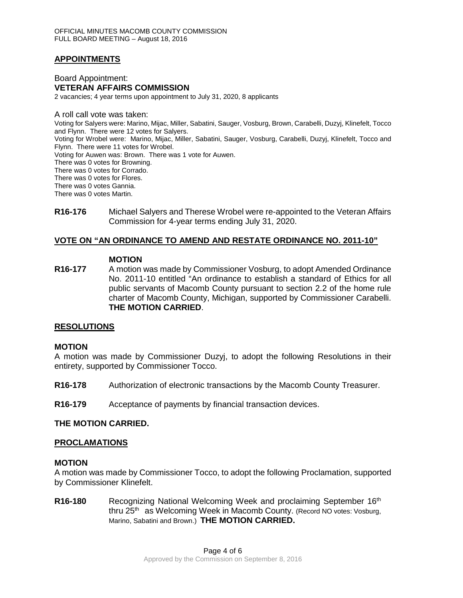# **APPOINTMENTS**

Board Appointment: **VETERAN AFFAIRS COMMISSION** 2 vacancies; 4 year terms upon appointment to July 31, 2020, 8 applicants

A roll call vote was taken: Voting for Salyers were: Marino, Mijac, Miller, Sabatini, Sauger, Vosburg, Brown, Carabelli, Duzyj, Klinefelt, Tocco and Flynn. There were 12 votes for Salyers. Voting for Wrobel were: Marino, Mijac, Miller, Sabatini, Sauger, Vosburg, Carabelli, Duzyj, Klinefelt, Tocco and Flynn. There were 11 votes for Wrobel. Voting for Auwen was: Brown. There was 1 vote for Auwen. There was 0 votes for Browning. There was 0 votes for Corrado. There was 0 votes for Flores. There was 0 votes Gannia. There was 0 votes Martin.

**R16-176** Michael Salyers and Therese Wrobel were re-appointed to the Veteran Affairs Commission for 4-year terms ending July 31, 2020.

### **VOTE ON "AN ORDINANCE TO AMEND AND RESTATE ORDINANCE NO. 2011-10"**

### **MOTION**

**R16-177** A motion was made by Commissioner Vosburg, to adopt Amended Ordinance No. 2011-10 entitled "An ordinance to establish a standard of Ethics for all public servants of Macomb County pursuant to section 2.2 of the home rule charter of Macomb County, Michigan, supported by Commissioner Carabelli. **THE MOTION CARRIED**.

#### **RESOLUTIONS**

#### **MOTION**

A motion was made by Commissioner Duzyj, to adopt the following Resolutions in their entirety, supported by Commissioner Tocco.

- **R16-178** Authorization of electronic transactions by the Macomb County Treasurer.
- **R16-179** Acceptance of payments by financial transaction devices.

#### **THE MOTION CARRIED.**

#### **PROCLAMATIONS**

### **MOTION**

A motion was made by Commissioner Tocco, to adopt the following Proclamation, supported by Commissioner Klinefelt.

**R16-180** Recognizing National Welcoming Week and proclaiming September 16<sup>th</sup> thru 25<sup>th</sup> as Welcoming Week in Macomb County. (Record NO votes: Vosburg, Marino, Sabatini and Brown.) **THE MOTION CARRIED.**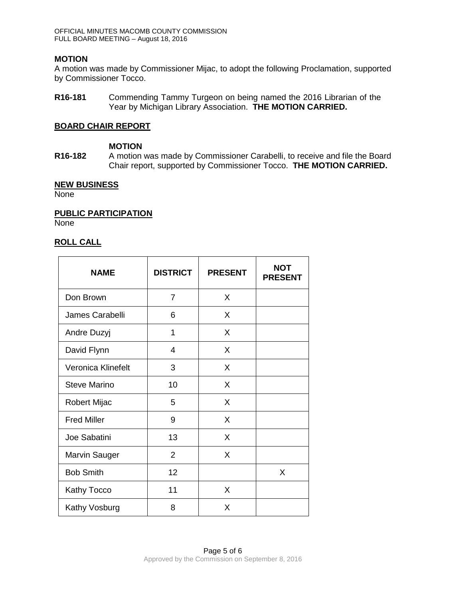## **MOTION**

A motion was made by Commissioner Mijac, to adopt the following Proclamation, supported by Commissioner Tocco.

**R16-181** Commending Tammy Turgeon on being named the 2016 Librarian of the Year by Michigan Library Association. **THE MOTION CARRIED.**

### **BOARD CHAIR REPORT**

## **MOTION**

**R16-182** A motion was made by Commissioner Carabelli, to receive and file the Board Chair report, supported by Commissioner Tocco. **THE MOTION CARRIED.**

### **NEW BUSINESS**

None

## **PUBLIC PARTICIPATION**

None

# **ROLL CALL**

| <b>NAME</b>          | <b>DISTRICT</b> | <b>PRESENT</b> | <b>NOT</b><br><b>PRESENT</b> |
|----------------------|-----------------|----------------|------------------------------|
| Don Brown            | $\overline{7}$  | X              |                              |
| James Carabelli      | 6               | X              |                              |
| Andre Duzyj          | 1               | X              |                              |
| David Flynn          | 4               | X              |                              |
| Veronica Klinefelt   | 3               | X              |                              |
| <b>Steve Marino</b>  | 10              | X              |                              |
| Robert Mijac         | 5               | X              |                              |
| <b>Fred Miller</b>   | 9               | X              |                              |
| Joe Sabatini         | 13              | X              |                              |
| <b>Marvin Sauger</b> | $\overline{2}$  | X              |                              |
| <b>Bob Smith</b>     | 12              |                | X                            |
| Kathy Tocco          | 11              | X              |                              |
| Kathy Vosburg        | 8               | X              |                              |